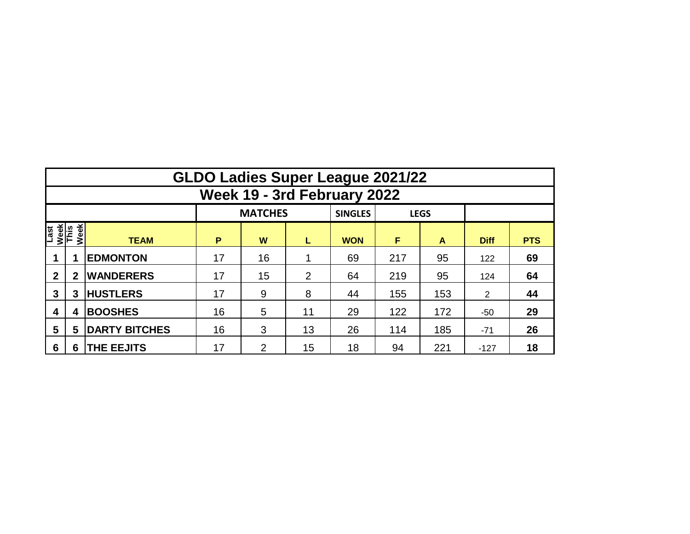|                      | <b>GLDO Ladies Super League 2021/22</b> |                      |    |                |    |                |     |             |                |            |  |  |  |  |  |
|----------------------|-----------------------------------------|----------------------|----|----------------|----|----------------|-----|-------------|----------------|------------|--|--|--|--|--|
|                      | Week 19 - 3rd February 2022             |                      |    |                |    |                |     |             |                |            |  |  |  |  |  |
|                      |                                         |                      |    | <b>MATCHES</b> |    | <b>SINGLES</b> |     | <b>LEGS</b> |                |            |  |  |  |  |  |
| Last<br>Week<br>This | Week                                    | <b>TEAM</b>          | P  | W              | L  | <b>WON</b>     | F   | A           | <b>Diff</b>    | <b>PTS</b> |  |  |  |  |  |
|                      | 1                                       | <b>EDMONTON</b>      | 17 | 16             |    | 69             | 217 | 95          | 122            | 69         |  |  |  |  |  |
| $\mathbf 2$          | $\mathbf 2$                             | <b>WANDERERS</b>     | 17 | 15             |    | 64             | 219 | 95          | 124            | 64         |  |  |  |  |  |
| 3                    | 3                                       | <b>HUSTLERS</b>      | 17 | 9              |    | 44             | 155 | 153         | $\overline{2}$ | 44         |  |  |  |  |  |
| 4                    | 4                                       | <b>BOOSHES</b>       | 16 | 5              | 11 | 29             | 122 | 172         | $-50$          | 29         |  |  |  |  |  |
| 5                    | 5                                       | <b>DARTY BITCHES</b> | 16 | 3              | 13 | 26             | 114 | 185         | $-71$          | 26         |  |  |  |  |  |
| 6                    | 6                                       | <b>THE EEJITS</b>    | 17 | 2              | 15 | 18             | 94  | 221         | $-127$         | 18         |  |  |  |  |  |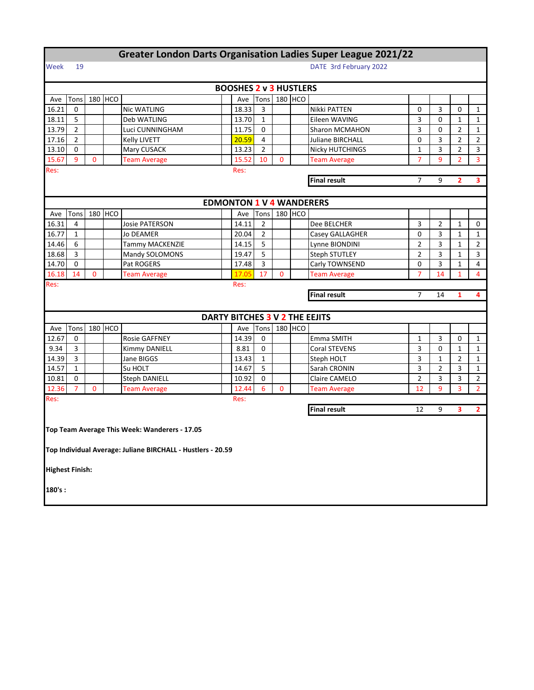| <b>Greater London Darts Organisation Ladies Super League 2021/22</b> |                |             |         |                                                             |  |                                 |                |                        |         |                                |                |                |                |                |  |  |
|----------------------------------------------------------------------|----------------|-------------|---------|-------------------------------------------------------------|--|---------------------------------|----------------|------------------------|---------|--------------------------------|----------------|----------------|----------------|----------------|--|--|
| Week                                                                 | 19             |             |         |                                                             |  |                                 |                | DATE 3rd February 2022 |         |                                |                |                |                |                |  |  |
|                                                                      |                |             |         |                                                             |  |                                 |                |                        |         |                                |                |                |                |                |  |  |
|                                                                      |                |             |         |                                                             |  | <b>BOOSHES 2 v 3 HUSTLERS</b>   |                |                        |         |                                |                |                |                |                |  |  |
| Ave                                                                  | Tons           |             | 180 HCO |                                                             |  | Ave                             | Tons           |                        | 180 HCO |                                |                |                |                |                |  |  |
| 16.21                                                                | 0              |             |         | Nic WATLING                                                 |  | 18.33                           | 3              |                        |         | Nikki PATTEN                   | 0              | 3              | 0              | 1              |  |  |
| 18.11                                                                | 5              |             |         | Deb WATLING                                                 |  | 13.70                           | $\mathbf{1}$   |                        |         | Eileen WAVING                  | 3              | 0              | $\mathbf{1}$   | $\mathbf{1}$   |  |  |
| 13.79                                                                | $\overline{2}$ |             |         | Luci CUNNINGHAM                                             |  | 11.75                           | 0              |                        |         | <b>Sharon MCMAHON</b>          | 3              | 0              | $\overline{2}$ | $\mathbf{1}$   |  |  |
| 17.16                                                                | $\overline{2}$ |             |         | Kelly LIVETT                                                |  | 20.59                           | $\overline{4}$ |                        |         | <b>Juliane BIRCHALL</b>        | 0              | 3              | $\overline{2}$ | 2              |  |  |
| 13.10                                                                | 0              |             |         | Mary CUSACK                                                 |  | 13.23                           | $\overline{2}$ |                        |         | <b>Nicky HUTCHINGS</b>         | $\mathbf{1}$   | 3              | $\overline{2}$ | 3              |  |  |
| 15.67                                                                | 9              | $\mathbf 0$ |         | <b>Team Average</b>                                         |  | 15.52                           | 10             | $\mathbf{0}$           |         | <b>Team Average</b>            | 7              | 9              | $\overline{2}$ | 3              |  |  |
| Res:                                                                 |                |             |         |                                                             |  | Res:                            |                |                        |         |                                |                |                |                |                |  |  |
| <b>Final result</b>                                                  |                |             |         |                                                             |  |                                 |                |                        |         |                                | $\overline{7}$ | 9              | $\overline{2}$ | 3              |  |  |
|                                                                      |                |             |         |                                                             |  |                                 |                |                        |         |                                |                |                |                |                |  |  |
|                                                                      |                |             |         |                                                             |  | <b>EDMONTON 1 V 4 WANDERERS</b> |                |                        |         |                                |                |                |                |                |  |  |
| Ave                                                                  | Tons           |             | 180 HCO |                                                             |  | Ave                             | Tons           |                        | 180 HCO |                                |                |                |                |                |  |  |
| 16.31                                                                | 4              |             |         | Josie PATERSON                                              |  | 14.11                           | $\overline{2}$ |                        |         | Dee BELCHER                    | 3              | $\overline{2}$ | $\mathbf{1}$   | 0              |  |  |
| 16.77                                                                | $\mathbf{1}$   |             |         | <b>Jo DEAMER</b>                                            |  | 20.04                           | $\overline{2}$ |                        |         | Casey GALLAGHER                | 0              | 3              | $\mathbf{1}$   | $\mathbf{1}$   |  |  |
| 14.46                                                                | 6              |             |         | Tammy MACKENZIE                                             |  | 14.15                           | 5              |                        |         | Lynne BIONDINI                 | $\overline{2}$ | 3              | $\mathbf{1}$   | $\overline{2}$ |  |  |
| 18.68                                                                | 3              |             |         | Mandy SOLOMONS                                              |  | 19.47                           | 5              |                        |         | <b>Steph STUTLEY</b>           | $\overline{2}$ | 3              | $\mathbf{1}$   | 3              |  |  |
| 14.70                                                                | 0              |             |         | Pat ROGERS                                                  |  | 17.48                           | 3              |                        |         | Carly TOWNSEND                 | 0              | 3              | $\mathbf{1}$   | 4              |  |  |
| 16.18                                                                | 14             | 0           |         | <b>Team Average</b>                                         |  | 17.05                           | 17             | 0                      |         | <b>Team Average</b>            | 7              | 14             | $\mathbf{1}$   | 4              |  |  |
| Res:                                                                 |                |             |         |                                                             |  | Res:                            |                |                        |         |                                |                |                |                |                |  |  |
| <b>Final result</b><br>7<br>14<br>1                                  |                |             |         |                                                             |  |                                 |                |                        |         |                                | 4              |                |                |                |  |  |
|                                                                      |                |             |         |                                                             |  |                                 |                |                        |         |                                |                |                |                |                |  |  |
|                                                                      |                |             |         |                                                             |  |                                 |                |                        |         | DARTY BITCHES 3 V 2 THE EEJITS |                |                |                |                |  |  |
| Ave                                                                  | Tons           |             | 180 HCO |                                                             |  | Ave                             | Tons           |                        | 180 HCO |                                |                |                |                |                |  |  |
| 12.67                                                                | 0              |             |         | <b>Rosie GAFFNEY</b>                                        |  | 14.39                           | 0              |                        |         | Emma SMITH                     | 1              | 3              | 0              | 1              |  |  |
| 9.34                                                                 | 3              |             |         | Kimmy DANIELL                                               |  | 8.81                            | 0              |                        |         | Coral STEVENS                  | 3              | 0              | $\mathbf{1}$   | $\mathbf{1}$   |  |  |
| 14.39                                                                | 3              |             |         | Jane BIGGS                                                  |  | 13.43                           | $\mathbf{1}$   |                        |         | Steph HOLT                     | 3              | $\mathbf 1$    | $\overline{2}$ | $\mathbf{1}$   |  |  |
| 14.57                                                                | 1              |             |         | Su HOLT                                                     |  | 14.67                           | 5              |                        |         | Sarah CRONIN                   | 3              | 2              | 3              | 1              |  |  |
| 10.81                                                                | 0              |             |         | <b>Steph DANIELL</b>                                        |  | 10.92                           | $\mathbf 0$    |                        |         | Claire CAMELO                  | $\overline{2}$ | 3              | 3              | $\overline{2}$ |  |  |
| 12.36                                                                | $\overline{7}$ | $\Omega$    |         | <b>Team Average</b>                                         |  | 12.44                           | 6              | $\overline{0}$         |         | <b>Team Average</b>            | 12             | 9              | 3              | $\overline{2}$ |  |  |
| Res:                                                                 |                |             |         |                                                             |  | Res:                            |                |                        |         |                                |                |                |                |                |  |  |
|                                                                      |                |             |         |                                                             |  |                                 |                |                        |         | <b>Final result</b>            | 12             | 9              | 3              | $\overline{2}$ |  |  |
|                                                                      |                |             |         |                                                             |  |                                 |                |                        |         |                                |                |                |                |                |  |  |
|                                                                      |                |             |         | Top Team Average This Week: Wanderers - 17.05               |  |                                 |                |                        |         |                                |                |                |                |                |  |  |
|                                                                      |                |             |         |                                                             |  |                                 |                |                        |         |                                |                |                |                |                |  |  |
|                                                                      |                |             |         | Top Individual Average: Juliane BIRCHALL - Hustlers - 20.59 |  |                                 |                |                        |         |                                |                |                |                |                |  |  |
|                                                                      |                |             |         |                                                             |  |                                 |                |                        |         |                                |                |                |                |                |  |  |
| <b>Highest Finish:</b>                                               |                |             |         |                                                             |  |                                 |                |                        |         |                                |                |                |                |                |  |  |
|                                                                      |                |             |         |                                                             |  |                                 |                |                        |         |                                |                |                |                |                |  |  |
| 180's:                                                               |                |             |         |                                                             |  |                                 |                |                        |         |                                |                |                |                |                |  |  |